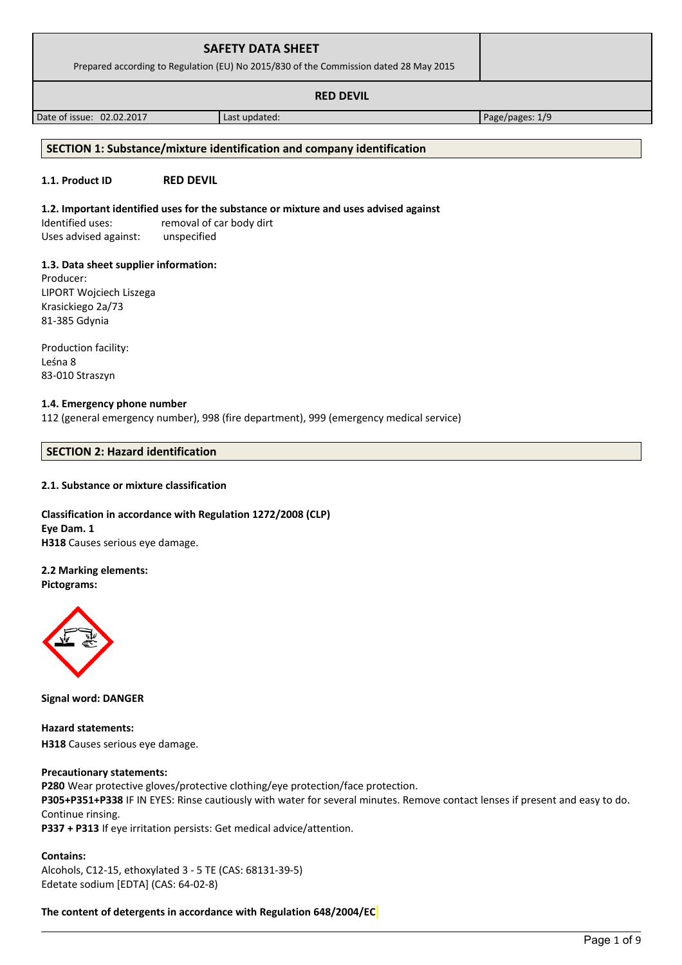| <b>SAFETY DATA SHEET</b><br>Prepared according to Regulation (EU) No 2015/830 of the Commission dated 28 May 2015 |  |
|-------------------------------------------------------------------------------------------------------------------|--|
| <b>RED DEVIL</b>                                                                                                  |  |

Date of issue: 02.02.2017 and a last updated: Page/pages: 1/9

# **SECTION 1: Substance/mixture identification and company identification**

# **1.1. Product ID RED DEVIL**

# **1.2. Important identified uses for the substance or mixture and uses advised against**

Identified uses: removal of car body dirt Uses advised against: unspecified

# **1.3. Data sheet supplier information:**

Producer: LIPORT Wojciech Liszega Krasickiego 2a/73 81-385 Gdynia

Production facility: Leśna 8 83-010 Straszyn

# **1.4. Emergency phone number**

112 (general emergency number), 998 (fire department), 999 (emergency medical service)

# **SECTION 2: Hazard identification**

# **2.1. Substance or mixture classification**

## **Classification in accordance with Regulation 1272/2008 (CLP) Eye Dam. 1 H318** Causes serious eye damage.

# **2.2 Marking elements:**

**Pictograms:**



**Signal word: DANGER**

**Hazard statements: H318** Causes serious eye damage.

# **Precautionary statements:**

**P280** Wear protective gloves/protective clothing/eye protection/face protection.

**P305+P351+P338** IF IN EYES: Rinse cautiously with water for several minutes. Remove contact lenses if present and easy to do. Continue rinsing.

**P337 + P313** If eye irritation persists: Get medical advice/attention.

# **Contains:**

Alcohols, C12-15, ethoxylated 3 - 5 TE (CAS: 68131-39-5) Edetate sodium [EDTA] (CAS: 64-02-8)

**The content of detergents in accordance with Regulation 648/2004/EC**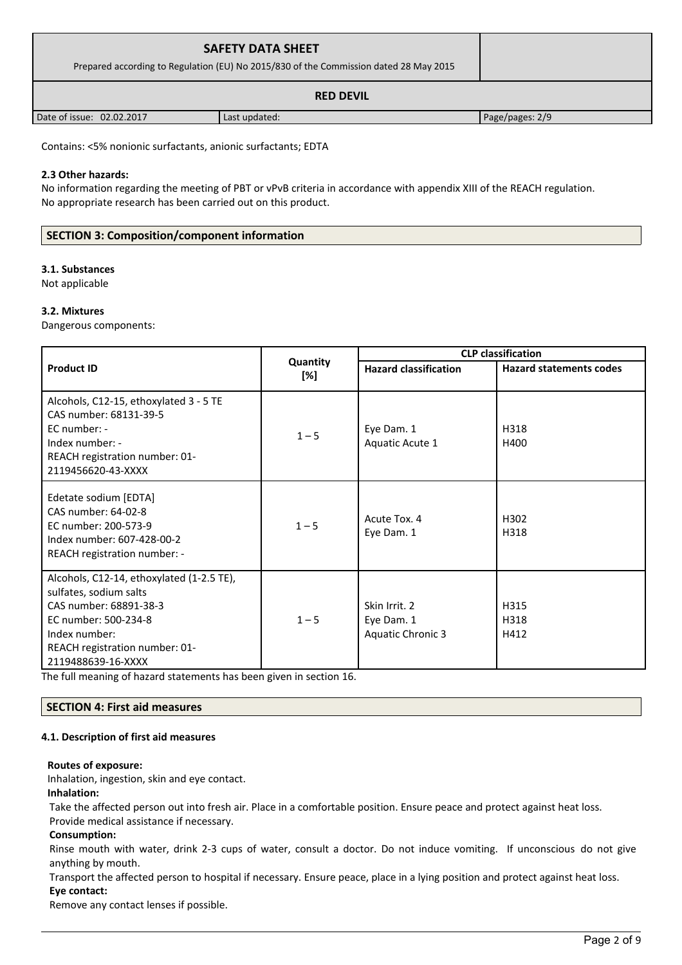| <b>SAFETY DATA SHEET</b><br>Prepared according to Regulation (EU) No 2015/830 of the Commission dated 28 May 2015 |               |                 |
|-------------------------------------------------------------------------------------------------------------------|---------------|-----------------|
| <b>RED DEVIL</b>                                                                                                  |               |                 |
| Date of issue: 02.02.2017                                                                                         | Last updated: | Page/pages: 2/9 |

Contains: <5% nonionic surfactants, anionic surfactants; EDTA

## **2.3 Other hazards:**

No information regarding the meeting of PBT or vPvB criteria in accordance with appendix XIII of the REACH regulation. No appropriate research has been carried out on this product.

## **SECTION 3: Composition/component information**

#### **3.1. Substances**

Not applicable

#### **3.2. Mixtures**

Dangerous components:

|                                                                                                                                                                                                |                 | <b>CLP classification</b>                               |                                |
|------------------------------------------------------------------------------------------------------------------------------------------------------------------------------------------------|-----------------|---------------------------------------------------------|--------------------------------|
| <b>Product ID</b>                                                                                                                                                                              | Quantity<br>[%] | <b>Hazard classification</b>                            | <b>Hazard statements codes</b> |
| Alcohols, C12-15, ethoxylated 3 - 5 TE<br>CAS number: 68131-39-5<br>EC number: -<br>Index number: -<br>REACH registration number: 01-<br>2119456620-43-XXXX                                    | $1 - 5$         | Eye Dam. 1<br>Aquatic Acute 1                           | H318<br>H400                   |
| Edetate sodium [EDTA]<br>CAS number: 64-02-8<br>EC number: 200-573-9<br>Index number: 607-428-00-2<br>REACH registration number: -                                                             | $1 - 5$         | Acute Tox. 4<br>Eye Dam. 1                              | H302<br>H318                   |
| Alcohols, C12-14, ethoxylated (1-2.5 TE),<br>sulfates, sodium salts<br>CAS number: 68891-38-3<br>EC number: 500-234-8<br>Index number:<br>REACH registration number: 01-<br>2119488639-16-XXXX | $1 - 5$         | Skin Irrit. 2<br>Eye Dam. 1<br><b>Aquatic Chronic 3</b> | H315<br>H318<br>H412           |

The full meaning of hazard statements has been given in section 16.

#### **SECTION 4: First aid measures**

#### **4.1. Description of first aid measures**

#### **Routes of exposure:**

Inhalation, ingestion, skin and eye contact. **Inhalation:**

Take the affected person out into fresh air. Place in a comfortable position. Ensure peace and protect against heat loss. Provide medical assistance if necessary.

#### **Consumption:**

Rinse mouth with water, drink 2-3 cups of water, consult a doctor. Do not induce vomiting. If unconscious do not give anything by mouth.

Transport the affected person to hospital if necessary. Ensure peace, place in a lying position and protect against heat loss. **Eye contact:**

Remove any contact lenses if possible.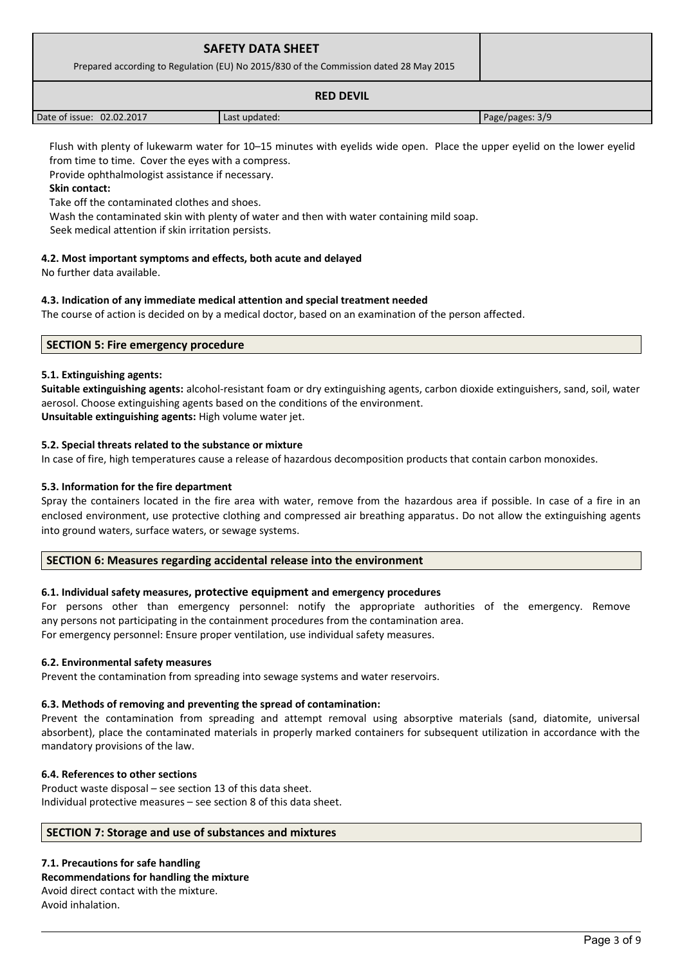| <b>SAFETY DATA SHEET</b><br>Prepared according to Regulation (EU) No 2015/830 of the Commission dated 28 May 2015 |               |                 |
|-------------------------------------------------------------------------------------------------------------------|---------------|-----------------|
| <b>RED DEVIL</b>                                                                                                  |               |                 |
| Date of issue: 02.02.2017                                                                                         | Last updated: | Page/pages: 3/9 |

Flush with plenty of lukewarm water for 10–15 minutes with eyelids wide open. Place the upper eyelid on the lower eyelid from time to time. Cover the eyes with a compress.

Provide ophthalmologist assistance if necessary.

## **Skin contact:**

Take off the contaminated clothes and shoes.

Wash the contaminated skin with plenty of water and then with water containing mild soap.

Seek medical attention if skin irritation persists.

## **4.2. Most important symptoms and effects, both acute and delayed**

No further data available.

## **4.3. Indication of any immediate medical attention and special treatment needed**

The course of action is decided on by a medical doctor, based on an examination of the person affected.

## **SECTION 5: Fire emergency procedure**

## **5.1. Extinguishing agents:**

**Suitable extinguishing agents:** alcohol-resistant foam or dry extinguishing agents, carbon dioxide extinguishers, sand, soil, water aerosol. Choose extinguishing agents based on the conditions of the environment.

**Unsuitable extinguishing agents:** High volume water jet.

## **5.2. Special threats related to the substance or mixture**

In case of fire, high temperatures cause a release of hazardous decomposition products that contain carbon monoxides.

## **5.3. Information for the fire department**

Spray the containers located in the fire area with water, remove from the hazardous area if possible. In case of a fire in an enclosed environment, use protective clothing and compressed air breathing apparatus. Do not allow the extinguishing agents into ground waters, surface waters, or sewage systems.

## **SECTION 6: Measures regarding accidental release into the environment**

## **6.1. Individual safety measures, protective equipment and emergency procedures**

For persons other than emergency personnel: notify the appropriate authorities of the emergency. Remove any persons not participating in the containment procedures from the contamination area. For emergency personnel: Ensure proper ventilation, use individual safety measures.

#### **6.2. Environmental safety measures**

Prevent the contamination from spreading into sewage systems and water reservoirs.

#### **6.3. Methods of removing and preventing the spread of contamination:**

Prevent the contamination from spreading and attempt removal using absorptive materials (sand, diatomite, universal absorbent), place the contaminated materials in properly marked containers for subsequent utilization in accordance with the mandatory provisions of the law.

## **6.4. References to other sections**

Product waste disposal – see section 13 of this data sheet. Individual protective measures – see section 8 of this data sheet.

#### **SECTION 7: Storage and use of substances and mixtures**

**7.1. Precautions for safe handling Recommendations for handling the mixture**  Avoid direct contact with the mixture. Avoid inhalation.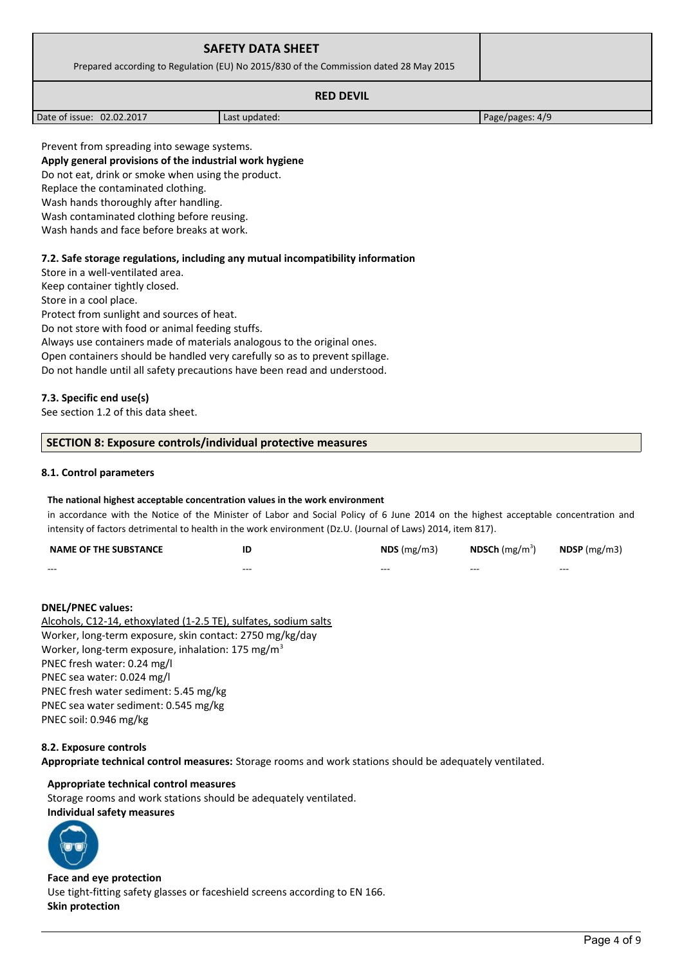| <b>SAFETY DATA SHEET</b><br>Prepared according to Regulation (EU) No 2015/830 of the Commission dated 28 May 2015 |  |
|-------------------------------------------------------------------------------------------------------------------|--|
| <b>RED DEVIL</b>                                                                                                  |  |

Date of issue: 02.02.2017 | Last updated: Page/pages: 4/9

Prevent from spreading into sewage systems. **Apply general provisions of the industrial work hygiene**  Do not eat, drink or smoke when using the product. Replace the contaminated clothing. Wash hands thoroughly after handling. Wash contaminated clothing before reusing. Wash hands and face before breaks at work.

## **7.2. Safe storage regulations, including any mutual incompatibility information**

Store in a well-ventilated area.

Keep container tightly closed.

Store in a cool place.

Protect from sunlight and sources of heat.

Do not store with food or animal feeding stuffs.

Always use containers made of materials analogous to the original ones.

Open containers should be handled very carefully so as to prevent spillage.

Do not handle until all safety precautions have been read and understood.

#### **7.3. Specific end use(s)**

See section 1.2 of this data sheet.

#### **SECTION 8: Exposure controls/individual protective measures**

#### **8.1. Control parameters**

#### **The national highest acceptable concentration values in the work environment**

in accordance with the Notice of the Minister of Labor and Social Policy of 6 June 2014 on the highest acceptable concentration and intensity of factors detrimental to health in the work environment (Dz.U. (Journal of Laws) 2014, item 817).

| <b>NAME OF THE SUBSTANCE</b> | ID      | $NDS$ (mg/m3) | <b>NDSCh</b> (mg/m <sup>3</sup> ) | $N$ DSP (mg/m3) |
|------------------------------|---------|---------------|-----------------------------------|-----------------|
| $- - -$                      | $- - -$ | $- - -$       | $- - -$                           | $- - -$         |

#### **DNEL/PNEC values:**

Alcohols, C12-14, ethoxylated (1-2.5 TE), sulfates, sodium salts Worker, long-term exposure, skin contact: 2750 mg/kg/day Worker, long-term exposure, inhalation: 175 mg/m<sup>3</sup> PNEC fresh water: 0.24 mg/l PNEC sea water: 0.024 mg/l PNEC fresh water sediment: 5.45 mg/kg PNEC sea water sediment: 0.545 mg/kg PNEC soil: 0.946 mg/kg

#### **8.2. Exposure controls**

**Appropriate technical control measures:** Storage rooms and work stations should be adequately ventilated.

#### **Appropriate technical control measures**

Storage rooms and work stations should be adequately ventilated.

## **Individual safety measures**



#### **Face and eye protection** Use tight-fitting safety glasses or faceshield screens according to EN 166. **Skin protection**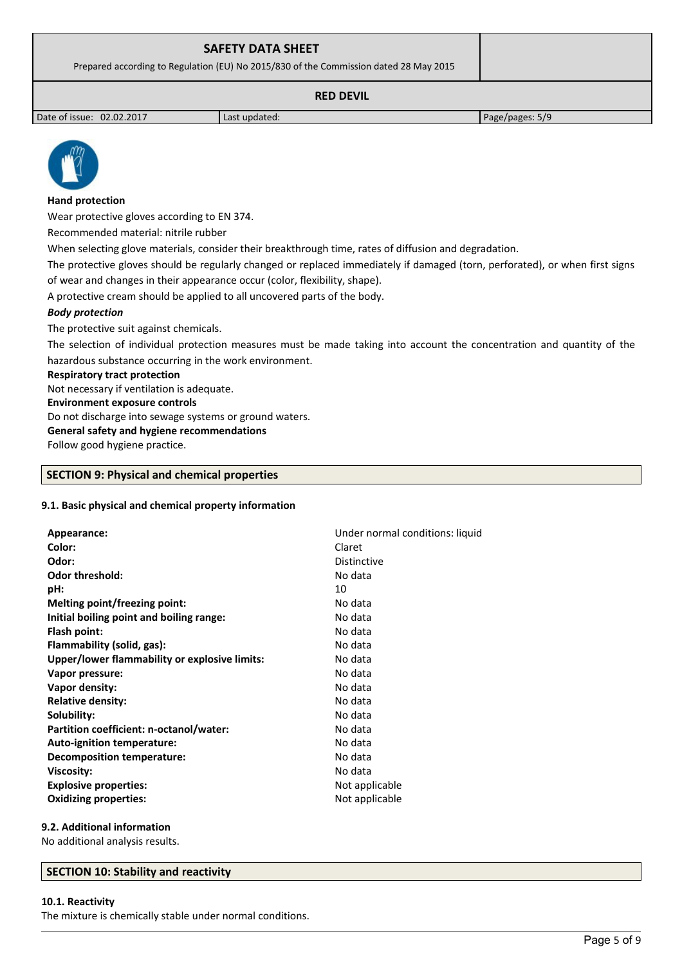## **SAFETY DATA SHEET**

Prepared according to Regulation (EU) No 2015/830 of the Commission dated 28 May 2015

## **RED DEVIL**

Date of issue: 02.02.2017 and a last updated: Page/pages: 5/9



#### **Hand protection**

Wear protective gloves according to EN 374.

Recommended material: nitrile rubber

When selecting glove materials, consider their breakthrough time, rates of diffusion and degradation.

The protective gloves should be regularly changed or replaced immediately if damaged (torn, perforated), or when first signs of wear and changes in their appearance occur (color, flexibility, shape).

A protective cream should be applied to all uncovered parts of the body.

#### *Body protection*

The protective suit against chemicals.

The selection of individual protection measures must be made taking into account the concentration and quantity of the hazardous substance occurring in the work environment.

#### **Respiratory tract protection**

Not necessary if ventilation is adequate.

**Environment exposure controls** 

Do not discharge into sewage systems or ground waters.

# **General safety and hygiene recommendations**

Follow good hygiene practice.

#### **SECTION 9: Physical and chemical properties**

#### **9.1. Basic physical and chemical property information**

| Appearance:                                   | Under normal conditions: liquid |
|-----------------------------------------------|---------------------------------|
| Color:                                        | Claret                          |
| Odor:                                         | <b>Distinctive</b>              |
| <b>Odor threshold:</b>                        | No data                         |
| pH:                                           | 10                              |
| Melting point/freezing point:                 | No data                         |
| Initial boiling point and boiling range:      | No data                         |
| Flash point:                                  | No data                         |
| Flammability (solid, gas):                    | No data                         |
| Upper/lower flammability or explosive limits: | No data                         |
| Vapor pressure:                               | No data                         |
| Vapor density:                                | No data                         |
| <b>Relative density:</b>                      | No data                         |
| Solubility:                                   | No data                         |
| Partition coefficient: n-octanol/water:       | No data                         |
| Auto-ignition temperature:                    | No data                         |
| <b>Decomposition temperature:</b>             | No data                         |
| <b>Viscosity:</b>                             | No data                         |
| <b>Explosive properties:</b>                  | Not applicable                  |
| <b>Oxidizing properties:</b>                  | Not applicable                  |
|                                               |                                 |

#### **9.2. Additional information**

No additional analysis results.

#### **SECTION 10: Stability and reactivity**

#### **10.1. Reactivity**

The mixture is chemically stable under normal conditions.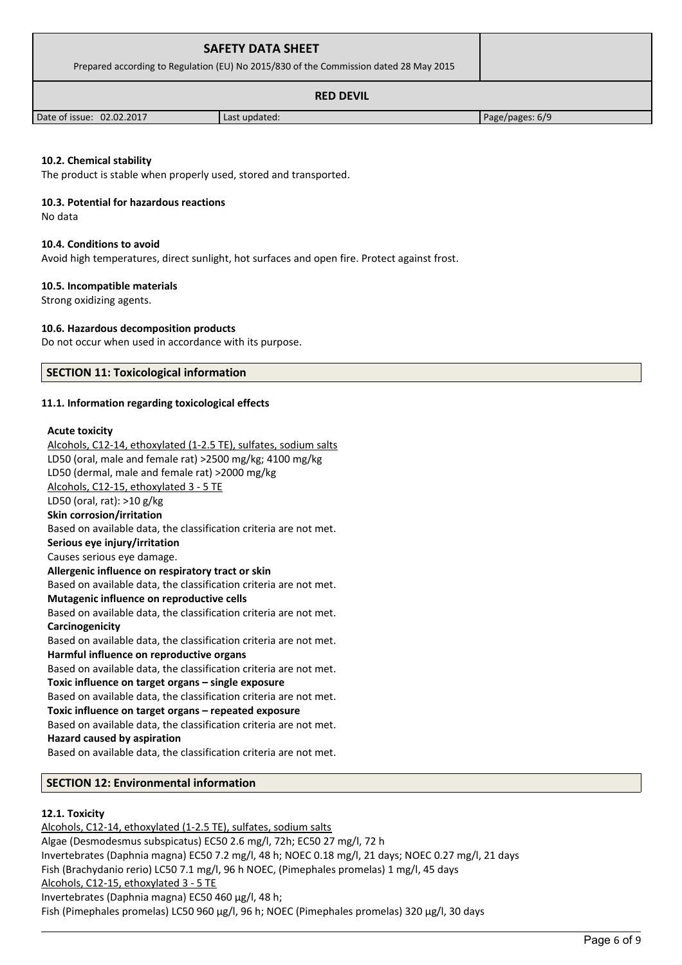| <b>SAFETY DATA SHEET</b><br>Prepared according to Regulation (EU) No 2015/830 of the Commission dated 28 May 2015 |  |
|-------------------------------------------------------------------------------------------------------------------|--|
| <b>RED DEVIL</b>                                                                                                  |  |

Date of issue: 02.02.2017 Last updated: Page/pages: 6/9

**10.2. Chemical stability**

The product is stable when properly used, stored and transported.

#### **10.3. Potential for hazardous reactions**

No data

#### **10.4. Conditions to avoid**

Avoid high temperatures, direct sunlight, hot surfaces and open fire. Protect against frost.

#### **10.5. Incompatible materials**

Strong oxidizing agents.

#### **10.6. Hazardous decomposition products**

Do not occur when used in accordance with its purpose.

#### **SECTION 11: Toxicological information**

#### **11.1. Information regarding toxicological effects**

#### **Acute toxicity**

Alcohols, C12-14, ethoxylated (1-2.5 TE), sulfates, sodium salts LD50 (oral, male and female rat) >2500 mg/kg; 4100 mg/kg LD50 (dermal, male and female rat) >2000 mg/kg Alcohols, C12-15, ethoxylated 3 - 5 TE LD50 (oral, rat): >10 g/kg **Skin corrosion/irritation** Based on available data, the classification criteria are not met. **Serious eye injury/irritation** Causes serious eye damage. **Allergenic influence on respiratory tract or skin** Based on available data, the classification criteria are not met. **Mutagenic influence on reproductive cells** Based on available data, the classification criteria are not met. **Carcinogenicity** Based on available data, the classification criteria are not met. **Harmful influence on reproductive organs** Based on available data, the classification criteria are not met. **Toxic influence on target organs – single exposure** Based on available data, the classification criteria are not met. **Toxic influence on target organs – repeated exposure** Based on available data, the classification criteria are not met. **Hazard caused by aspiration** Based on available data, the classification criteria are not met.

#### **SECTION 12: Environmental information**

#### **12.1. Toxicity**

Alcohols, C12-14, ethoxylated (1-2.5 TE), sulfates, sodium salts Algae (Desmodesmus subspicatus) EC50 2.6 mg/l, 72h; EC50 27 mg/l, 72 h Invertebrates (Daphnia magna) EC50 7.2 mg/l, 48 h; NOEC 0.18 mg/l, 21 days; NOEC 0.27 mg/l, 21 days Fish (Brachydanio rerio) LC50 7.1 mg/l, 96 h NOEC, (Pimephales promelas) 1 mg/l, 45 days Alcohols, C12-15, ethoxylated 3 - 5 TE Invertebrates (Daphnia magna) EC50 460 µg/l, 48 h; Fish (Pimephales promelas) LC50 960 µg/l, 96 h; NOEC (Pimephales promelas) 320 µg/l, 30 days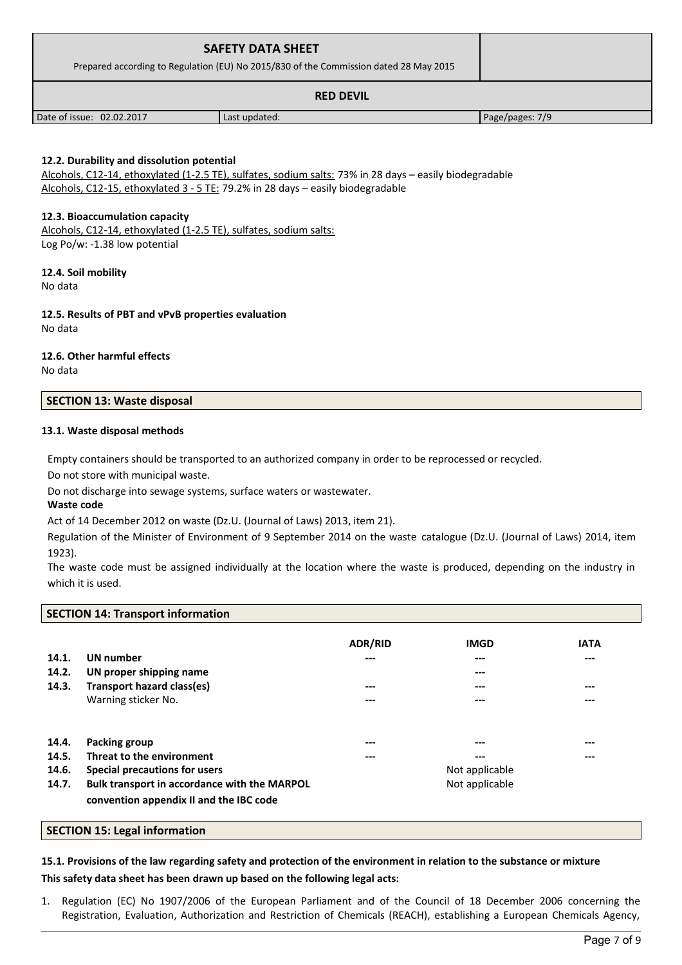| <b>SAFETY DATA SHEET</b><br>Prepared according to Regulation (EU) No 2015/830 of the Commission dated 28 May 2015 |               |                 |
|-------------------------------------------------------------------------------------------------------------------|---------------|-----------------|
| <b>RED DEVIL</b>                                                                                                  |               |                 |
| Date of issue: 02.02.2017                                                                                         | Last updated: | Page/pages: 7/9 |

## **12.2. Durability and dissolution potential**

Alcohols, C12-14, ethoxylated (1-2.5 TE), sulfates, sodium salts: 73% in 28 days – easily biodegradable Alcohols, C12-15, ethoxylated 3 - 5 TE: 79.2% in 28 days – easily biodegradable

### **12.3. Bioaccumulation capacity**

Alcohols, C12-14, ethoxylated (1-2.5 TE), sulfates, sodium salts: Log Po/w: -1.38 low potential

#### **12.4. Soil mobility**

No data

#### **12.5. Results of PBT and vPvB properties evaluation** No data

# **12.6. Other harmful effects**

No data

## **SECTION 13: Waste disposal**

#### **13.1. Waste disposal methods**

Empty containers should be transported to an authorized company in order to be reprocessed or recycled.

Do not store with municipal waste.

Do not discharge into sewage systems, surface waters or wastewater.

#### **Waste code**

Act of 14 December 2012 on waste (Dz.U. (Journal of Laws) 2013, item 21).

Regulation of the Minister of Environment of 9 September 2014 on the waste catalogue (Dz.U. (Journal of Laws) 2014, item 1923).

The waste code must be assigned individually at the location where the waste is produced, depending on the industry in which it is used.

#### **SECTION 14: Transport information**

|       |                                              | <b>ADR/RID</b> | <b>IMGD</b>    | <b>IATA</b> |
|-------|----------------------------------------------|----------------|----------------|-------------|
| 14.1. | <b>UN</b> number                             | ---            | ---            | ---         |
| 14.2. | UN proper shipping name                      |                | ---            |             |
| 14.3. | Transport hazard class(es)                   | ---            | ---            | ---         |
|       | Warning sticker No.                          | ---            | ---            | ---         |
|       |                                              |                |                |             |
| 14.4. | Packing group                                | ---            | ---            | ---         |
| 14.5. | Threat to the environment                    | ---            | ---            | ---         |
| 14.6. | Special precautions for users                |                | Not applicable |             |
| 14.7. | Bulk transport in accordance with the MARPOL |                | Not applicable |             |
|       | convention appendix II and the IBC code      |                |                |             |

#### **SECTION 15: Legal information**

# **15.1. Provisions of the law regarding safety and protection of the environment in relation to the substance or mixture**

#### **This safety data sheet has been drawn up based on the following legal acts:**

1. Regulation (EC) No 1907/2006 of the European Parliament and of the Council of 18 December 2006 concerning the Registration, Evaluation, Authorization and Restriction of Chemicals (REACH), establishing a European Chemicals Agency,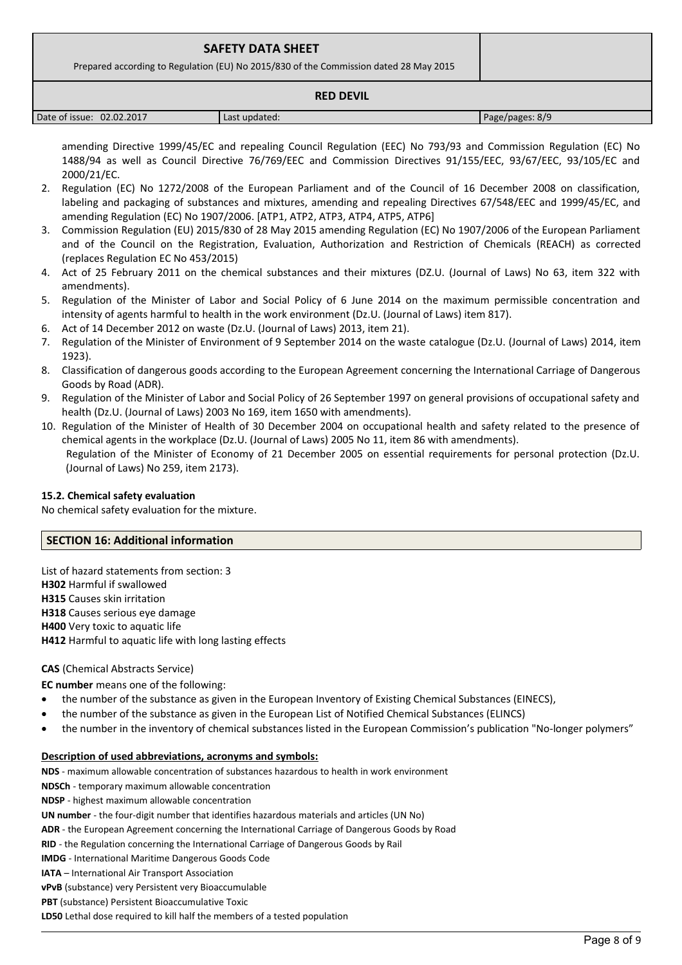| <b>SAFETY DATA SHEET</b>                                                              |  |
|---------------------------------------------------------------------------------------|--|
| Prepared according to Regulation (EU) No 2015/830 of the Commission dated 28 May 2015 |  |
| <b>RED DEVIL</b>                                                                      |  |

| 02.02.2017<br>Date of issue: | Last updated: | Page/pages: 8/9 |
|------------------------------|---------------|-----------------|

amending Directive 1999/45/EC and repealing Council Regulation (EEC) No 793/93 and Commission Regulation (EC) No 1488/94 as well as Council Directive 76/769/EEC and Commission Directives 91/155/EEC, 93/67/EEC, 93/105/EC and 2000/21/EC.

- 2. Regulation (EC) No 1272/2008 of the European Parliament and of the Council of 16 December 2008 on classification, labeling and packaging of substances and mixtures, amending and repealing Directives 67/548/EEC and 1999/45/EC, and amending Regulation (EC) No 1907/2006. [ATP1, ATP2, ATP3, ATP4, ATP5, ATP6]
- 3. Commission Regulation (EU) 2015/830 of 28 May 2015 amending Regulation (EC) No 1907/2006 of the European Parliament and of the Council on the Registration, Evaluation, Authorization and Restriction of Chemicals (REACH) as corrected (replaces Regulation EC No 453/2015)
- 4. Act of 25 February 2011 on the chemical substances and their mixtures (DZ.U. (Journal of Laws) No 63, item 322 with amendments).
- 5. Regulation of the Minister of Labor and Social Policy of 6 June 2014 on the maximum permissible concentration and intensity of agents harmful to health in the work environment (Dz.U. (Journal of Laws) item 817).
- 6. Act of 14 December 2012 on waste (Dz.U. (Journal of Laws) 2013, item 21).
- 7. Regulation of the Minister of Environment of 9 September 2014 on the waste catalogue (Dz.U. (Journal of Laws) 2014, item 1923).
- 8. Classification of dangerous goods according to the European Agreement concerning the International Carriage of Dangerous Goods by Road (ADR).
- 9. Regulation of the Minister of Labor and Social Policy of 26 September 1997 on general provisions of occupational safety and health (Dz.U. (Journal of Laws) 2003 No 169, item 1650 with amendments).
- 10. Regulation of the Minister of Health of 30 December 2004 on occupational health and safety related to the presence of chemical agents in the workplace (Dz.U. (Journal of Laws) 2005 No 11, item 86 with amendments). Regulation of the Minister of Economy of 21 December 2005 on essential requirements for personal protection (Dz.U. (Journal of Laws) No 259, item 2173).

## **15.2. Chemical safety evaluation**

No chemical safety evaluation for the mixture.

## **SECTION 16: Additional information**

List of hazard statements from section: 3 **H302** Harmful if swallowed **H315** Causes skin irritation **H318** Causes serious eye damage **H400** Very toxic to aquatic life **H412** Harmful to aquatic life with long lasting effects

## **CAS** (Chemical Abstracts Service)

**EC number** means one of the following:

- the number of the substance as given in the European Inventory of Existing Chemical Substances (EINECS),
- the number of the substance as given in the European List of Notified Chemical Substances (ELINCS)
- the number in the inventory of chemical substances listed in the European Commission's publication "No-longer polymers"

#### **Description of used abbreviations, acronyms and symbols:**

**NDS** - maximum allowable concentration of substances hazardous to health in work environment

**NDSCh** - temporary maximum allowable concentration

**NDSP** - highest maximum allowable concentration

**UN number** - the four-digit number that identifies hazardous materials and articles (UN No)

**ADR** - the European Agreement concerning the International Carriage of Dangerous Goods by Road

**RID** - the Regulation concerning the International Carriage of Dangerous Goods by Rail

**IMDG** - International Maritime Dangerous Goods Code

**IATA** – International Air Transport Association

**vPvB** (substance) very Persistent very Bioaccumulable

**PBT** (substance) Persistent Bioaccumulative Toxic

**LD50** Lethal dose required to kill half the members of a tested population